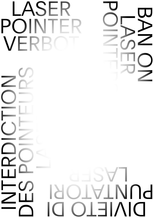NN DO LASER DE POINTERS



# LASER POINTE VERB

NO NO NO NO OCOLOGIST CONNECT LASER